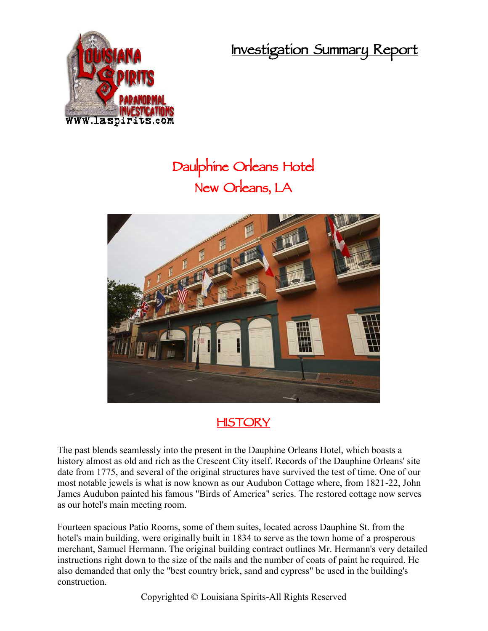**Investigation Summary Report**



## **Daulphine Orleans Hotel New Orleans, LA**



## **HISTORY**

The past blends seamlessly into the present in the Dauphine Orleans Hotel, which boasts a history almost as old and rich as the Crescent City itself. Records of the Dauphine Orleans' site date from 1775, and several of the original structures have survived the test of time. One of our most notable jewels is what is now known as our Audubon Cottage where, from 1821-22, John James Audubon painted his famous "Birds of America" series. The restored cottage now serves as our hotel's main meeting room.

Fourteen spacious Patio Rooms, some of them suites, located across Dauphine St. from the hotel's main building, were originally built in 1834 to serve as the town home of a prosperous merchant, Samuel Hermann. The original building contract outlines Mr. Hermann's very detailed instructions right down to the size of the nails and the number of coats of paint he required. He also demanded that only the "best country brick, sand and cypress" be used in the building's construction.

Copyrighted © Louisiana Spirits-All Rights Reserved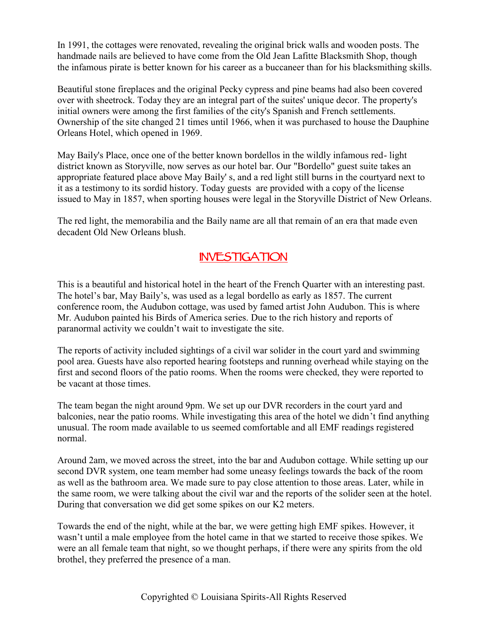In 1991, the cottages were renovated, revealing the original brick walls and wooden posts. The handmade nails are believed to have come from the Old Jean Lafitte Blacksmith Shop, though the infamous pirate is better known for his career as a buccaneer than for his blacksmithing skills.

Beautiful stone fireplaces and the original Pecky cypress and pine beams had also been covered over with sheetrock. Today they are an integral part of the suites' unique decor. The property's initial owners were among the first families of the city's Spanish and French settlements. Ownership of the site changed 21 times until 1966, when it was purchased to house the Dauphine Orleans Hotel, which opened in 1969.

May Baily's Place, once one of the better known bordellos in the wildly infamous red- light district known as Storyville, now serves as our hotel bar. Our "Bordello" guest suite takes an appropriate featured place above May Baily' s, and a red light still burns in the courtyard next to it as a testimony to its sordid history. Today guests are provided with a copy of the license issued to May in 1857, when sporting houses were legal in the Storyville District of New Orleans.

The red light, the memorabilia and the Baily name are all that remain of an era that made even decadent Old New Orleans blush.

## **INVESTIGATION**

This is a beautiful and historical hotel in the heart of the French Quarter with an interesting past. The hotel's bar, May Baily's, was used as a legal bordello as early as 1857. The current conference room, the Audubon cottage, was used by famed artist John Audubon. This is where Mr. Audubon painted his Birds of America series. Due to the rich history and reports of paranormal activity we couldn't wait to investigate the site.

The reports of activity included sightings of a civil war solider in the court yard and swimming pool area. Guests have also reported hearing footsteps and running overhead while staying on the first and second floors of the patio rooms. When the rooms were checked, they were reported to be vacant at those times.

The team began the night around 9pm. We set up our DVR recorders in the court yard and balconies, near the patio rooms. While investigating this area of the hotel we didn't find anything unusual. The room made available to us seemed comfortable and all EMF readings registered normal.

Around 2am, we moved across the street, into the bar and Audubon cottage. While setting up our second DVR system, one team member had some uneasy feelings towards the back of the room as well as the bathroom area. We made sure to pay close attention to those areas. Later, while in the same room, we were talking about the civil war and the reports of the solider seen at the hotel. During that conversation we did get some spikes on our K2 meters.

Towards the end of the night, while at the bar, we were getting high EMF spikes. However, it wasn't until a male employee from the hotel came in that we started to receive those spikes. We were an all female team that night, so we thought perhaps, if there were any spirits from the old brothel, they preferred the presence of a man.